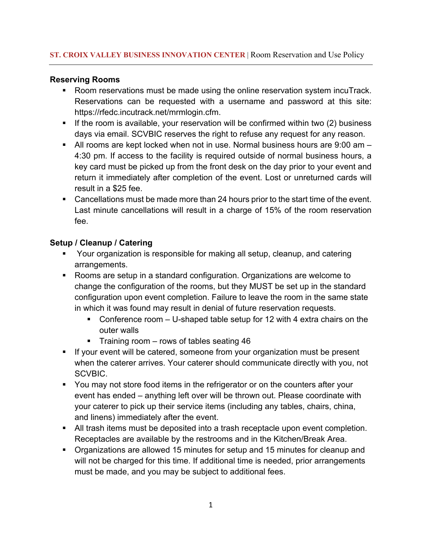## **Reserving Rooms**

- Room reservations must be made using the online reservation system incuTrack. Reservations can be requested with a username and password at this site: https://rfedc.incutrack.net/mrmlogin.cfm.
- If the room is available, your reservation will be confirmed within two (2) business days via email. SCVBIC reserves the right to refuse any request for any reason.
- All rooms are kept locked when not in use. Normal business hours are 9:00 am 4:30 pm. If access to the facility is required outside of normal business hours, a key card must be picked up from the front desk on the day prior to your event and return it immediately after completion of the event. Lost or unreturned cards will result in a \$25 fee.
- Cancellations must be made more than 24 hours prior to the start time of the event. Last minute cancellations will result in a charge of 15% of the room reservation fee.

# **Setup / Cleanup / Catering**

- § Your organization is responsible for making all setup, cleanup, and catering arrangements.
- § Rooms are setup in a standard configuration. Organizations are welcome to change the configuration of the rooms, but they MUST be set up in the standard configuration upon event completion. Failure to leave the room in the same state in which it was found may result in denial of future reservation requests.
	- Conference room U-shaped table setup for 12 with 4 extra chairs on the outer walls
	- Training room rows of tables seating 46
- § If your event will be catered, someone from your organization must be present when the caterer arrives. Your caterer should communicate directly with you, not SCVBIC.
- You may not store food items in the refrigerator or on the counters after your event has ended – anything left over will be thrown out. Please coordinate with your caterer to pick up their service items (including any tables, chairs, china, and linens) immediately after the event.
- § All trash items must be deposited into a trash receptacle upon event completion. Receptacles are available by the restrooms and in the Kitchen/Break Area.
- § Organizations are allowed 15 minutes for setup and 15 minutes for cleanup and will not be charged for this time. If additional time is needed, prior arrangements must be made, and you may be subject to additional fees.